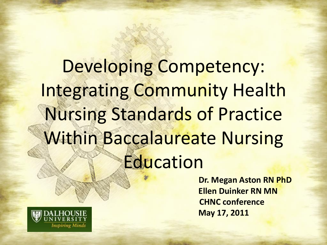Developing Competency: Integrating Community Health Nursing Standards of Practice Within Baccalaureate Nursing Education

> **Dr. Megan Aston RN PhD Ellen Duinker RN MN CHNC conference May 17, 2011**

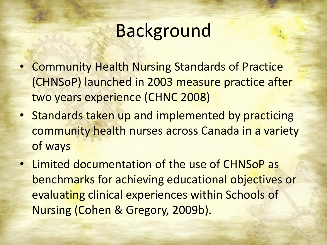## Background

- Community Health Nursing Standards of Practice (CHNSoP) launched in 2003 measure practice after two years experience (CHNC 2008)
- Standards taken up and implemented by practicing community health nurses across Canada in a variety of ways
- Limited documentation of the use of CHNSoP as benchmarks for achieving educational objectives or evaluating clinical experiences within Schools of Nursing (Cohen & Gregory, 2009b).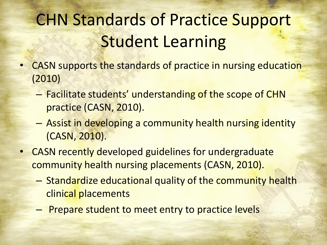## CHN Standards of Practice Support Student Learning

- CASN supports the standards of practice in nursing education (2010)
	- Facilitate students' understanding of the scope of CHN practice (CASN, 2010).
	- Assist in developing a community health nursing identity (CASN, 2010).
- CASN recently developed guidelines for undergraduate community health nursing placements (CASN, 2010).
	- Standardize educational quality of the community health clinical placements
	- Prepare student to meet entry to practice levels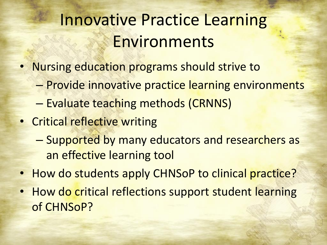### Innovative Practice Learning Environments

- Nursing education programs should strive to
	- Provide innovative practice learning environments
	- Evaluate teaching methods (CRNNS)
- Critical reflective writing
	- Supported by many educators and researchers as an effective learning tool
- How do students apply CHNSoP to clinical practice?
- How do critical reflections support student learning of CHNSoP?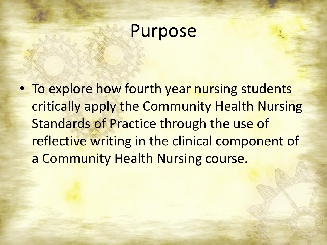#### Purpose

• To explore how fourth year nursing students critically apply the Community Health Nursing Standards of Practice through the use of reflective writing in the clinical component of a Community Health Nursing course.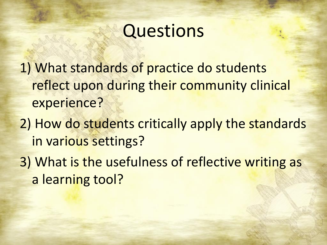## **Questions**

1) What standards of practice do students reflect upon during their community clinical experience?

- 2) How do students critically apply the standards in various settings?
- 3) What is the usefulness of reflective writing as a learning tool?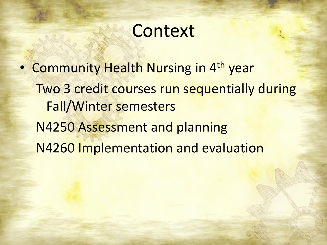#### **Context**

• Community Health Nursing in 4<sup>th</sup> year Two 3 credit courses run sequentially during Fall/Winter semesters N4250 Assessment and planning N4260 Implementation and evaluation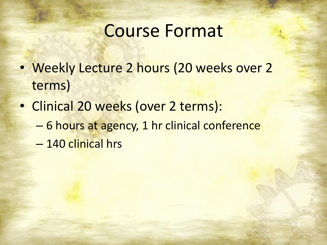#### Course Format

- Weekly Lecture 2 hours (20 weeks over 2 terms)
- Clinical 20 weeks (over 2 terms):
	- 6 hours at agency, 1 hr clinical conference
	- 140 clinical hrs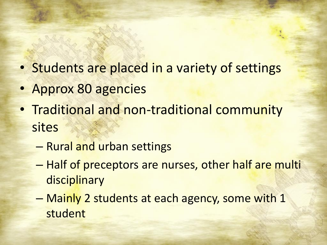- Students are placed in a variety of settings
- Approx 80 agencies
- Traditional and non-traditional community sites
	- Rural and urban settings
	- Half of preceptors are nurses, other half are multi disciplinary
	- Mainly 2 students at each agency, some with 1 student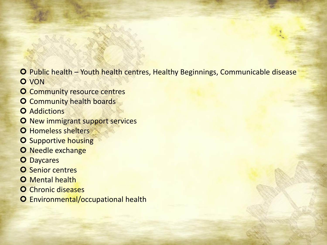- Public health Youth health centres, Healthy Beginnings, Communicable disease **O** VON
- **O** Community resource centres
- **O** Community health boards
- **O** Addictions
- O New immigrant support services
- **O** Homeless shelters
- **O** Supportive housing
- O Needle exchange
- **O** Daycares
- **O** Senior centres
- **O** Mental health
- **O** Chronic diseases
- **O** Environmental/occupational health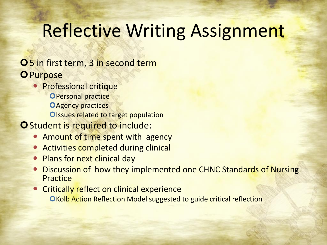## Reflective Writing Assignment

#### **O**5 in first term, 3 in second term **O** Purpose

**• Professional critique OPersonal practice OAgency practices** Olssues related to target population

#### O Student is required to include:

- Amount of time spent with agency
- Activities completed during clinical
- Plans for next clinical day
- Discussion of how they implemented one CHNC Standards of Nursing Practice
- **Critically reflect on clinical experience OKolb Action Reflection Model suggested to guide critical reflection**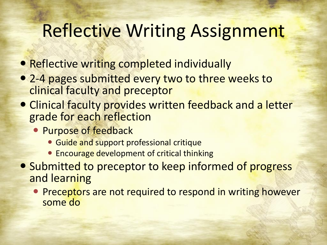## Reflective Writing Assignment

- Reflective writing completed individually
- 2-4 pages submitted every two to three weeks to clinical faculty and preceptor
- Clinical faculty provides written feedback and a letter grade for each reflection
	- **Purpose of feedback** 
		- Guide and support professional critique
		- **Encourage development of critical thinking**
- Submitted to preceptor to keep informed of progress and learning
	- **Preceptors are not required to respond in writing however** some do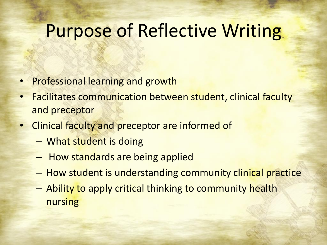#### Purpose of Reflective Writing

- Professional learning and growth
- Facilitates communication between student, clinical faculty and preceptor
- Clinical faculty and preceptor are informed of
	- What student is doing
	- How standards are being applied
	- How student is understanding community clinical practice
	- Ability to apply critical thinking to community health nursing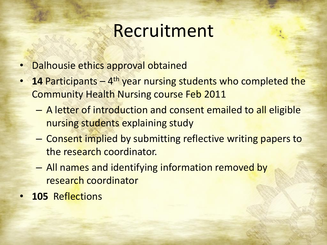### Recruitment

- Dalhousie ethics approval obtained
- **14 Participants** 4<sup>th</sup> year nursing students who completed the Community Health Nursing course Feb 2011
	- A letter of introduction and consent emailed to all eligible nursing students explaining study
	- Consent implied by submitting reflective writing papers to the research coordinator.
	- All names and identifying information removed by research coordinator
- **105** Reflections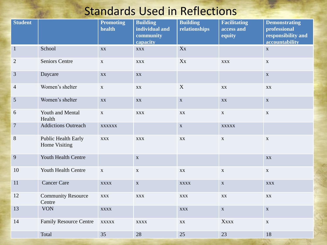#### Standards Used in Reflections

| <b>Student</b> |                                      | <b>Promoting</b><br>health | <b>Building</b><br>individual and<br>community<br>capacity | <b>Building</b><br>relationships | <b>Facilitating</b><br>access and<br>equity | <b>Demonstrating</b><br>professional<br>responsibility and<br>accountability |
|----------------|--------------------------------------|----------------------------|------------------------------------------------------------|----------------------------------|---------------------------------------------|------------------------------------------------------------------------------|
| $\mathbf{1}$   | School                               | XX                         | <b>XXX</b>                                                 | Xx                               |                                             | $\mathbf X$                                                                  |
| $\overline{2}$ | <b>Seniors Centre</b>                | $\mathbf X$                | <b>XXX</b>                                                 | Xx                               | <b>XXX</b>                                  | $\mathbf X$                                                                  |
| $\mathfrak{Z}$ | Daycare                              | XX                         | XX                                                         |                                  |                                             | $\mathbf X$                                                                  |
| $\overline{4}$ | Women's shelter                      | $\mathbf X$                | XX                                                         | X                                | XX                                          | XX                                                                           |
| $\mathfrak{S}$ | Women's shelter                      | XX                         | XX                                                         | $\mathbf X$                      | $\mathbf{X} \mathbf{X}$                     | $\mathbf{X}$                                                                 |
| 6              | Youth and Mental<br>Health           | $\mathbf X$                | <b>XXX</b>                                                 | XX                               | $\mathbf X$                                 | $\mathbf X$                                                                  |
| $\overline{7}$ | <b>Addictions Outreach</b>           | <b>XXXXXX</b>              |                                                            | $\mathbf X$                      | <b>XXXXX</b>                                |                                                                              |
| $8\,$          | Public Health Early<br>Home Visiting | <b>XXX</b>                 | <b>XXX</b>                                                 | XX                               | $\mathbf X$                                 | $\mathbf{X}$                                                                 |
| 9              | Youth Health Centre                  |                            | $\mathbf X$                                                |                                  |                                             | XX                                                                           |
| 10             | Youth Health Centre                  | $\mathbf X$                | $\mathbf X$                                                | XX                               | $\mathbf X$                                 | $\mathbf X$                                                                  |
| 11             | <b>Cancer Care</b>                   | <b>XXXX</b>                | $\mathbf X$                                                | <b>XXXX</b>                      | $\mathbf X$                                 | $\mathbf{XXX}$                                                               |
| 12             | <b>Community Resource</b><br>Centre  | $\mathbf{XXX}$             | <b>XXX</b>                                                 | <b>XXX</b>                       | $\mathbf{X}\mathbf{X}$                      | $\mathbf{X}\mathbf{X}$                                                       |
| 13             | <b>VON</b>                           | <b>XXXX</b>                |                                                            | <b>XXX</b>                       | $\mathbf X$                                 | $\mathbf X$                                                                  |
| 14             | <b>Family Resource Centre</b>        | <b>XXXXX</b>               | <b>XXXX</b>                                                | <b>XX</b>                        | <b>Xxxx</b>                                 | $\mathbf X$                                                                  |
|                | Total                                | 35                         | 28                                                         | 25                               | 23                                          | 18                                                                           |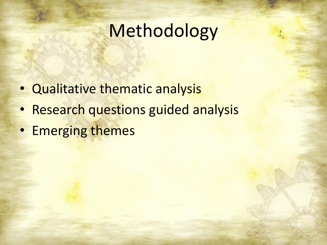## Methodology

- Qualitative thematic analysis
- Research questions guided analysis
- Emerging themes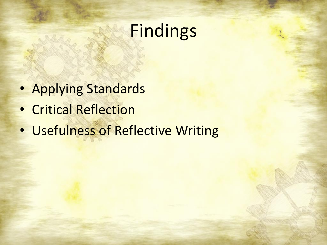### Findings

- Applying Standards
- Critical Reflection
- Usefulness of Reflective Writing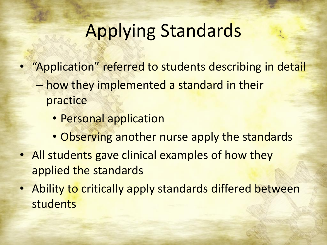# Applying Standards

- "Application" referred to students describing in detail
	- how they implemented a standard in their practice
		- Personal application
		- Observing another nurse apply the standards
- All students gave clinical examples of how they applied the standards
- Ability to critically apply standards differed between students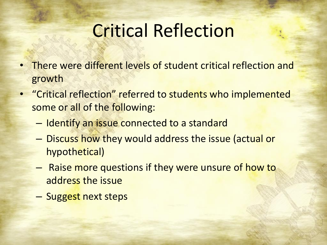## Critical Reflection

- There were different levels of student critical reflection and growth
- "Critical reflection" referred to students who implemented some or all of the following:
	- Identify an issue connected to a standard
	- Discuss how they would address the issue (actual or hypothetical)
	- Raise more questions if they were unsure of how to address the issue
	- Suggest next steps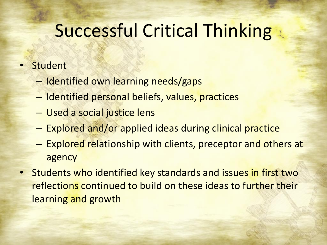## Successful Critical Thinking

#### **Student**

- Identified own learning needs/gaps
- Identified personal beliefs, values, practices
- Used a social justice lens
- Explored and/or applied ideas during clinical practice
- Explored relationship with clients, preceptor and others at agency
- Students who identified key standards and issues in first two reflections continued to build on these ideas to further their learning and growth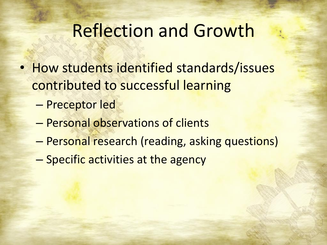#### Reflection and Growth

- How students identified standards/issues contributed to successful learning
	- Preceptor led
	- Personal observations of clients
	- Personal research (reading, asking questions)
	- Specific activities at the agency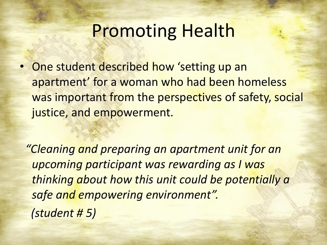### Promoting Health

• One student described how 'setting up an apartment' for a woman who had been homeless was important from the perspectives of safety, social justice, and empowerment.

*"Cleaning and preparing an apartment unit for an upcoming participant was rewarding as I was thinking about how this unit could be potentially a safe and empowering environment". (student # 5)*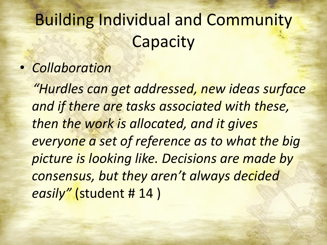## Building Individual and Community **Capacity**

#### • *Collaboration*

*"Hurdles can get addressed, new ideas surface and if there are tasks associated with these, then the work is allocated, and it gives everyone a set of reference as to what the big picture is looking like. Decisions are made by consensus, but they aren't always decided easily"* (student # 14 )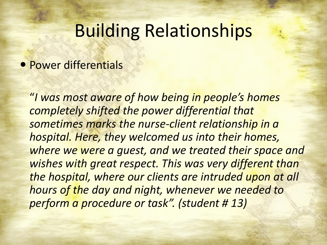#### Building Relationships

#### • Power differentials

"*I was most aware of how being in people's homes completely shifted the power differential that sometimes marks the nurse-client relationship in a hospital. Here, they welcomed us into their homes, where we were a guest, and we treated their space and wishes with great respect. This was very different than the hospital, where our clients are intruded upon at all hours of the day and night, whenever we needed to perform a procedure or task". (student # 13)*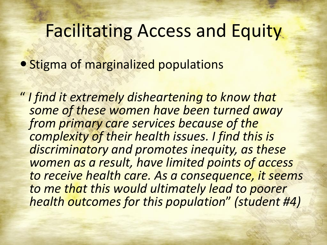#### Facilitating Access and Equity

**• Stigma of marginalized populations** 

" *I find it extremely disheartening to know that some of these women have been turned away from primary care services because of the complexity of their health issues. I find this is discriminatory and promotes inequity, as these women as a result, have limited points of access to receive health care. As a consequence, it seems to me that this would ultimately lead to poorer health outcomes for this population*" *(student #4)*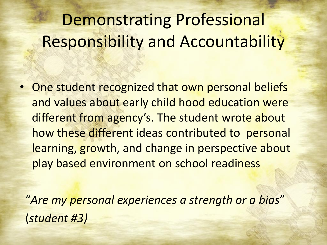## Demonstrating Professional Responsibility and Accountability

• One student recognized that own personal beliefs and values about early child hood education were different from agency's. The student wrote about how these different ideas contributed to personal learning, growth, and change in perspective about play based environment on school readiness

"*Are my personal experiences a strength or a bias*" (*student #3)*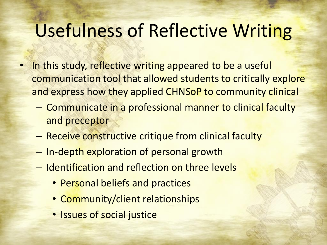## Usefulness of Reflective Writing

- In this study, reflective writing appeared to be a useful communication tool that allowed students to critically explore and express how they applied CHNSoP to community clinical
	- Communicate in a professional manner to clinical faculty and preceptor
	- Receive constructive critique from clinical faculty
	- In-depth exploration of personal growth
	- Identification and reflection on three levels
		- Personal beliefs and practices
		- Community/client relationships
		- Issues of social justice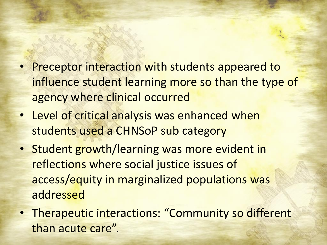- Preceptor interaction with students appeared to influence student learning more so than the type of agency where clinical occurred
- Level of critical analysis was enhanced when students used a CHNSoP sub category
- Student growth/learning was more evident in reflections where social justice issues of access/equity in marginalized populations was addressed
- Therapeutic interactions: "Community so different than acute care".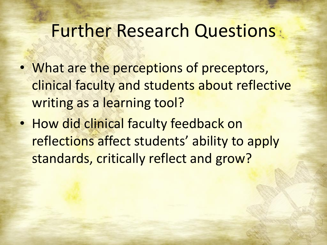#### Further Research Questions

- What are the perceptions of preceptors, clinical faculty and students about reflective writing as a learning tool?
- How did clinical faculty feedback on reflections affect students' ability to apply standards, critically reflect and grow?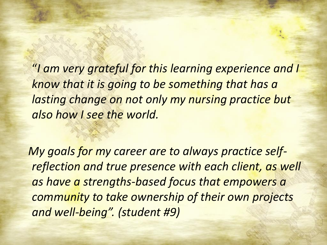"*I am very grateful for this learning experience and I know that it is going to be something that has a lasting change on not only my nursing practice but also how I see the world.*

*My goals for my career are to always practice selfreflection and true presence with each client, as well as have a strengths-based focus that empowers a community to take ownership of their own projects and well-being". (student #9)*